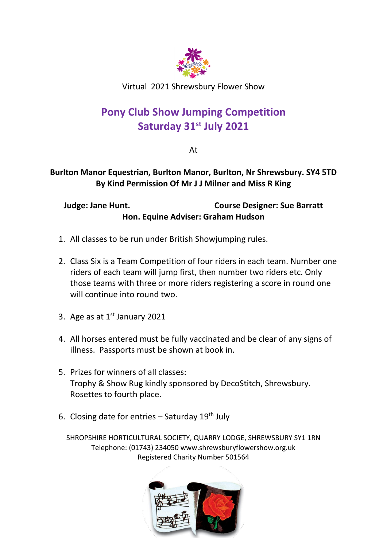

Virtual 2021 Shrewsbury Flower Show

# **Pony Club Show Jumping Competition Saturday 31st July 2021**

At

### **Burlton Manor Equestrian, Burlton Manor, Burlton, Nr Shrewsbury. SY4 5TD By Kind Permission Of Mr J J Milner and Miss R King**

**Judge: Jane Hunt. Course Designer: Sue Barratt Hon. Equine Adviser: Graham Hudson**

- 1. All classes to be run under British Showjumping rules.
- 2. Class Six is a Team Competition of four riders in each team. Number one riders of each team will jump first, then number two riders etc. Only those teams with three or more riders registering a score in round one will continue into round two.
- 3. Age as at  $1<sup>st</sup>$  January 2021
- 4. All horses entered must be fully vaccinated and be clear of any signs of illness. Passports must be shown at book in.
- 5. Prizes for winners of all classes: Trophy & Show Rug kindly sponsored by DecoStitch, Shrewsbury. Rosettes to fourth place.
- 6. Closing date for entries  $-$  Saturday 19<sup>th</sup> July

SHROPSHIRE HORTICULTURAL SOCIETY, QUARRY LODGE, SHREWSBURY SY1 1RN Telephone: (01743) 234050 www.shrewsburyflowershow.org.uk Registered Charity Number 501564